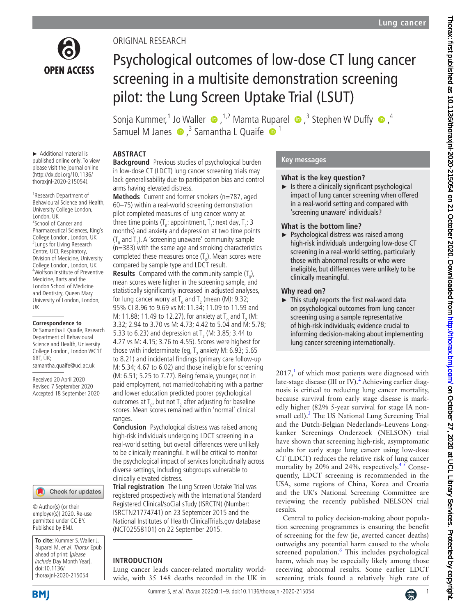

# ORIGINAL RESEARCH

# Psychological outcomes of low-dose CT lung cancer screening in a multisite demonstration screening pilot: the Lung Screen Uptake Trial (LSUT)

SonjaKummer,<sup>1</sup> Jo Waller  $\bigcirc$ , <sup>1,2</sup> Mamta Ruparel  $\bigcirc$ , <sup>3</sup> Stephen W Duffy  $\bigcirc$ , <sup>4</sup> Samuel M Janes  $\bullet$ ,<sup>3</sup> Samantha L Quaife  $\bullet$ <sup>1</sup>

► Additional material is published online only. To view please visit the journal online (http://dx.doi.org/10.1136/ thoraxjnl-2020-215054).

1 Research Department of Behavioural Science and Health, University College London, London, UK 2 School of Cancer and Pharmaceutical Sciences, King's College London, London, UK <sup>3</sup> Lungs for Living Research Centre, UCL Respiratory, Division of Medicine, University College London, London, UK 4 Wolfson Institute of Preventive Medicine, Barts and the London School of Medicine and Dentistry, Queen Mary University of London, London, UK

#### **Correspondence to**

Dr Samantha L Quaife, Research Department of Behavioural Science and Health, University College London, London WC1E 6BT, UK; samantha.quaife@ucl.ac.uk

Received 20 April 2020 Revised 7 September 2020 Accepted 18 September 2020



© Author(s) (or their employer(s)) 2020. Re-use permitted under CC BY. Published by BMJ.

**To cite:** Kummer S, Waller J, Ruparel M, et al. Thorax Epub ahead of print: [please include Day Month Year]. doi:10.1136/ thoraxjnl-2020-215054

# **ABSTRACT**

**Background** Previous studies of psychological burden in low-dose CT (LDCT) lung cancer screening trials may lack generalisability due to participation bias and control arms having elevated distress.

**Methods** Current and former smokers (n=787, aged 60–75) within a real-world screening demonstration pilot completed measures of lung cancer worry at three time points (T<sub>0</sub>: appointment, T<sub>1</sub>: next day, T<sub>2</sub>: 3 months) and anxiety and depression at two time points ( $T_{0}$  and  $T_{2}$ ). A 'screening unaware' community sample (n=383) with the same age and smoking characteristics completed these measures once  $(T_0)$ . Mean scores were compared by sample type and LDCT result.

**Results** Compared with the community sample  $(T_0)$ , mean scores were higher in the screening sample, and statistically significantly increased in adjusted analyses, for lung cancer worry at T<sub>0</sub> and T<sub>2</sub> (mean (M): 9.32; 95% CI 8.96 to 9.69 vs M: 11.34; 11.09 to 11.59 and M: 11.88; 11.49 to 12.27), for anxiety at  $T_{\text{o}}$  and  $T_{\text{2}}$  (M: 3.32; 2.94 to 3.70 vs M: 4.73; 4.42 to 5.04 and M: 5.78; 5.33 to 6.23) and depression at  $T_2$  (M: 3.85; 3.44 to 4.27 vs M: 4.15; 3.76 to 4.55). Scores were highest for those with indeterminate (eg,  $T_2$  anxiety M: 6.93; 5.65 to 8.21) and incidental findings (primary care follow-up M: 5.34; 4.67 to 6.02) and those ineligible for screening (M: 6.51; 5.25 to 7.77). Being female, younger, not in paid employment, not married/cohabiting with a partner and lower education predicted poorer psychological outcomes at  $T_{0}$ , but not  $T_{2}$  after adjusting for baseline scores. Mean scores remained within 'normal' clinical ranges.

**Conclusion** Psychological distress was raised among high-risk individuals undergoing LDCT screening in a real-world setting, but overall differences were unlikely to be clinically meaningful. It will be critical to monitor the psychological impact of services longitudinally across diverse settings, including subgroups vulnerable to clinically elevated distress.

**Trial registration** The Lung Screen Uptake Trial was registered prospectively with the International Standard Registered Clinical/soCial sTudy (ISRCTN) (Number: [ISRCTN21774741\)](ISRCTN21774741) on 23 September 2015 and the National Institutes of Health ClinicalTrials.gov database [\(NCT02558101](NCT02558101)) on 22 September 2015.

#### **INTRODUCTION**

Lung cancer leads cancer-related mortality worldwide, with 35 148 deaths recorded in the UK in

### **Key messages**

#### **What is the key question?**

 $\blacktriangleright$  Is there a clinically significant psychological impact of lung cancer screening when offered in a real-world setting and compared with 'screening unaware' individuals?

### **What is the bottom line?**

► Psychological distress was raised among high-risk individuals undergoing low-dose CT screening in a real-world setting, particularly those with abnormal results or who were ineligible, but differences were unlikely to be clinically meaningful.

#### **Why read on?**

► This study reports the first real-word data on psychological outcomes from lung cancer screening using a sample representative of high-risk individuals; evidence crucial to informing decision-making about implementing lung cancer screening internationally.

 $2017<sup>1</sup>$  $2017<sup>1</sup>$  $2017<sup>1</sup>$  of which most patients were diagnosed with late-stage disease (III or IV).<sup>2</sup> Achieving earlier diagnosis is critical to reducing lung cancer mortality, because survival from early stage disease is markedly higher (82% 5-year survival for stage IA nonsmall cell).<sup>3</sup> The US National Lung Screening Trial and the Dutch-Belgian Nederlands–Leuvens Longkanker Screenings Onderzoek (NELSON) trial have shown that screening high-risk, asymptomatic adults for early stage lung cancer using low-dose CT (LDCT) reduces the relative risk of lung cancer mortality by 20% and 24%, respectively.<sup>45</sup> Consequently, LDCT screening is recommended in the USA, some regions of China, Korea and Croatia and the UK's National Screening Committee are reviewing the recently published NELSON trial results.

Central to policy decision-making about population screening programmes is ensuring the benefit of screening for the few (ie, averted cancer deaths) outweighs any potential harm caused to the whole screened population.<sup>[6](#page-8-4)</sup> This includes psychological harm, which may be especially likely among those receiving abnormal results. Some earlier LDCT screening trials found a relatively high rate of

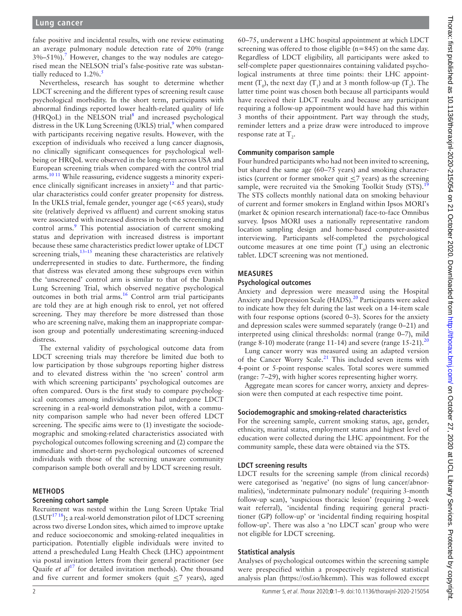false positive and incidental results, with one review estimating an average pulmonary nodule detection rate of 20% (range  $3\% - 51\%$ ).<sup>[7](#page-8-5)</sup> However, changes to the way nodules are categorised mean the NELSON trial's false-positive rate was substantially reduced to  $1.2\%$ .

Nevertheless, research has sought to determine whether LDCT screening and the different types of screening result cause psychological morbidity. In the short term, participants with abnormal findings reported lower health-related quality of life (HRQoL) in the NELSON trial<sup>[8](#page-8-7)</sup> and increased psychological distress in the UK Lung Screening (UKLS) trial,<sup>[9](#page-8-8)</sup> when compared with participants receiving negative results. However, with the exception of individuals who received a lung cancer diagnosis, no clinically significant consequences for psychological wellbeing or HRQoL were observed in the long-term across USA and European screening trials when compared with the control trial arms.[10 11](#page-8-9) While reassuring, evidence suggests a minority experience clinically significant increases in anxiety<sup>12</sup> and that particular characteristics could confer greater propensity for distress. In the UKLS trial, female gender, younger age (<65 years), study site (relatively deprived vs affluent) and current smoking status were associated with increased distress in both the screening and control arms.<sup>[9](#page-8-8)</sup> This potential association of current smoking status and deprivation with increased distress is important because these same characteristics predict lower uptake of LDCT screening trials, $13-15$  meaning these characteristics are relatively underrepresented in studies to date. Furthermore, the finding that distress was elevated among these subgroups even within the 'unscreened' control arm is similar to that of the Danish Lung Screening Trial, which observed negative psychological outcomes in both trial arms[.16](#page-8-12) Control arm trial participants are told they are at high enough risk to enrol, yet not offered screening. They may therefore be more distressed than those who are screening naïve, making them an inappropriate comparison group and potentially underestimating screening-induced distress.

The external validity of psychological outcome data from LDCT screening trials may therefore be limited due both to low participation by those subgroups reporting higher distress and to elevated distress within the 'no screen' control arm with which screening participants' psychological outcomes are often compared. Ours is the first study to compare psychological outcomes among individuals who had undergone LDCT screening in a real-world demonstration pilot, with a community comparison sample who had never been offered LDCT screening. The specific aims were to (1) investigate the sociodemographic and smoking-related characteristics associated with psychological outcomes following screening and (2) compare the immediate and short-term psychological outcomes of screened individuals with those of the screening unaware community comparison sample both overall and by LDCT screening result.

#### **METHODS**

#### **Screening cohort sample**

Recruitment was nested within the Lung Screen Uptake Trial  $(LSUT<sup>17 18</sup>)$ ; a real-world demonstration pilot of LDCT screening across two diverse London sites, which aimed to improve uptake and reduce socioeconomic and smoking-related inequalities in participation. Potentially eligible individuals were invited to attend a prescheduled Lung Health Check (LHC) appointment via postal invitation letters from their general practitioner (see Quaife *et al*<sup>[17](#page-8-13)</sup> for detailed invitation methods). One thousand and five current and former smokers (quit  $\leq$ 7 years), aged

60–75, underwent a LHC hospital appointment at which LDCT screening was offered to those eligible (n=845) on the same day. Regardless of LDCT eligibility, all participants were asked to self-complete paper questionnaires containing validated psychological instruments at three time points: their LHC appointment (T<sub>0</sub>), the next day (T<sub>1</sub>) and at 3 month follow-up (T<sub>2</sub>). The latter time point was chosen both because all participants would have received their LDCT results and because any participant requiring a follow-up appointment would have had this within 3 months of their appointment. Part way through the study, reminder letters and a prize draw were introduced to improve response rate at  $T_{2}$ .

## **Community comparison sample**

Four hundred participants who had not been invited to screening, but shared the same age (60–75 years) and smoking characteristics (current or former smoker quit <7 years) as the screening sample, were recruited via the Smoking Toolkit Study  $(STS)$ .<sup>[19](#page-8-14)</sup> The STS collects monthly national data on smoking behaviour of current and former smokers in England within Ipsos MORI's (market & opinion research international) face-to-face Omnibus survey. Ipsos MORI uses a nationally representative random location sampling design and home-based computer-assisted interviewing. Participants self-completed the psychological outcome measures at one time point  $(T_0)$  using an electronic tablet. LDCT screening was not mentioned.

#### **MEASURES**

#### **Psychological outcomes**

Anxiety and depression were measured using the Hospital Anxiety and Depression Scale (HADS).<sup>20</sup> Participants were asked to indicate how they felt during the last week on a 14-item scale with four response options (scored 0–3). Scores for the anxiety and depression scales were summed separately (range 0–21) and interpreted using clinical thresholds: normal (range 0–7), mild (range 8-10) moderate (range 11-14) and severe (range  $15-21$ ).<sup>[20](#page-8-15)</sup>

Lung cancer worry was measured using an adapted version of the Cancer Worry Scale.<sup>21</sup> This included seven items with 4-point or 5-point response scales. Total scores were summed (range: 7–29), with higher scores representing higher worry.

Aggregate mean scores for cancer worry, anxiety and depression were then computed at each respective time point.

#### **Sociodemographic and smoking-related characteristics**

For the screening sample, current smoking status, age, gender, ethnicity, marital status, employment status and highest level of education were collected during the LHC appointment. For the community sample, these data were obtained via the STS.

#### **LDCT screening results**

LDCT results for the screening sample (from clinical records) were categorised as 'negative' (no signs of lung cancer/abnormalities), 'indeterminate pulmonary nodule' (requiring 3-month follow-up scan), 'suspicious thoracic lesion' (requiring 2-week wait referral), 'incidental finding requiring general practitioner (GP) follow-up' or 'incidental finding requiring hospital follow-up'. There was also a 'no LDCT scan' group who were not eligible for LDCT screening.

#### **Statistical analysis**

Analyses of psychological outcomes within the screening sample were prespecified within a prospectively registered statistical analysis plan [\(https://osf.io/hkemm\)](https://osf.io/hkemm). This was followed except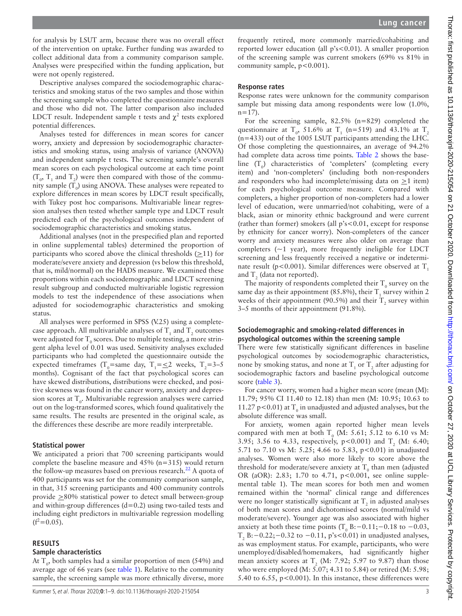for analysis by LSUT arm, because there was no overall effect of the intervention on uptake. Further funding was awarded to collect additional data from a community comparison sample. Analyses were prespecified within the funding application, but were not openly registered.

Descriptive analyses compared the sociodemographic characteristics and smoking status of the two samples and those within the screening sample who completed the questionnaire measures and those who did not. The latter comparison also included LDCT result. Independent sample t tests and  $\chi^2$  tests explored potential differences.

Analyses tested for differences in mean scores for cancer worry, anxiety and depression by sociodemographic characteristics and smoking status, using analysis of variance (ANOVA) and independent sample t tests. The screening sample's overall mean scores on each psychological outcome at each time point  $(T_0, T_1$  and  $T_2)$  were then compared with those of the community sample  $(T_0)$  using ANOVA. These analyses were repeated to explore differences in mean scores by LDCT result specifically, with Tukey post hoc comparisons. Multivariable linear regression analyses then tested whether sample type and LDCT result predicted each of the psychological outcomes independent of sociodemographic characteristics and smoking status.

Additional analyses (not in the prespecified plan and reported in [online supplemental tables\)](https://dx.doi.org/10.1136/thoraxjnl-2020-215054) determined the proportion of participants who scored above the clinical thresholds  $(\geq 11)$  for moderate/severe anxiety and depression (vs below this threshold, that is, mild/normal) on the HADS measure. We examined these proportions within each sociodemographic and LDCT screening result subgroup and conducted multivariable logistic regression models to test the independence of these associations when adjusted for sociodemographic characteristics and smoking status.

All analyses were performed in SPSS (V.25) using a completecase approach. All multivariable analyses of  $T_1$  and  $T_2$  outcomes were adjusted for  $\text{T}_\text{0}$  scores. Due to multiple testing, a more stringent alpha level of 0.01 was used. Sensitivity analyses excluded participants who had completed the questionnaire outside the expected timeframes (T<sub>0</sub>=same day, T<sub>1</sub>= $\leq$ 2 weeks, T<sub>2</sub>=3-5 months). Cognisant of the fact that psychological scores can have skewed distributions, distributions were checked, and positive skewness was found in the cancer worry, anxiety and depression scores at  $T_o$ . Multivariable regression analyses were carried out on the log-transformed scores, which found qualitatively the same results. The results are presented in the original scale, as the differences these describe are more readily interpretable.

#### **Statistical power**

We anticipated a priori that 700 screening participants would complete the baseline measure and 45% (n=315) would return the follow-up measures based on previous research.<sup>22</sup> A quota of 400 participants was set for the community comparison sample, in that, 315 screening participants and 400 community controls provide >80% statistical power to detect small between-group and within-group differences (d=0.2) using two-tailed tests and including eight predictors in multivariable regression modelling  $(f^2=0.05)$ .

### **RESULTS**

#### **Sample characteristics**

At  $T_0$ , both samples had a similar proportion of men (54%) and average age of 66 years (see [table](#page-3-0) 1). Relative to the community sample, the screening sample was more ethnically diverse, more

frequently retired, more commonly married/cohabiting and reported lower education (all p's<0.01). A smaller proportion of the screening sample was current smokers (69% vs 81% in community sample,  $p < 0.001$ ).

#### **Response rates**

Response rates were unknown for the community comparison sample but missing data among respondents were low (1.0%,  $n=17$ ).

For the screening sample, 82.5% (n=829) completed the questionnaire at  $T_0$ , 51.6% at  $T_1$  (n=519) and 43.1% at  $T_2$ (n=433) out of the 1005 LSUT participants attending the LHC. Of those completing the questionnaires, an average of 94.2% had complete data across time points. [Table](#page-4-0) 2 shows the baseline  $(T_0)$  characteristics of 'completers' (completing every item) and 'non-completers' (including both non-responders and responders who had incomplete/missing data on  $\geq$ 1 item) for each psychological outcome measure. Compared with completers, a higher proportion of non-completers had a lower level of education, were unmarried/not cohabiting, were of a black, asian or minority ethnic background and were current (rather than former) smokers (all p's<0.01, except for response by ethnicity for cancer worry). Non-completers of the cancer worry and anxiety measures were also older on average than completers  $(-1 \text{ year})$ , more frequently ineligible for LDCT screening and less frequently received a negative or indeterminate result (p<0.001). Similar differences were observed at  $T_1$ and  $T_2$  (data not reported).

The majority of respondents completed their  $T_0$  survey on the same day as their appointment (85.8%), their  $T_1$  survey within 2 weeks of their appointment (90.5%) and their  $T_2$  survey within 3–5 months of their appointment (91.8%).

### **Sociodemographic and smoking-related differences in psychological outcomes within the screening sample**

There were few statistically significant differences in baseline psychological outcomes by sociodemographic characteristics, none by smoking status, and none at  $\text{T}_\text{1}$  or  $\text{T}_\text{2}$  after adjusting for sociodemographic factors and baseline psychological outcome score [\(table](#page-5-0) 3).

For cancer worry, women had a higher mean score (mean (M): 11.79; 95% CI 11.40 to 12.18) than men (M: 10.95; 10.63 to 11.27 p<0.01) at  $T_0$  in unadjusted and adjusted analyses, but the absolute difference was small.

For anxiety, women again reported higher mean levels compared with men at both  $T_0$  (M: 5.61; 5.12 to 6.10 vs M: 3.95; 3.56 to 4.33, respectively,  $p < 0.001$ ) and  $T_2$  (M: 6.40; 5.71 to 7.10 vs M: 5.25; 4.66 to 5.83, p<0.01) in unadjusted analyses. Women were also more likely to score above the threshold for moderate/severe anxiety at  $\text{T}_{{}_{0}}$  than men (adjusted OR (aOR): 2.83; 1.70 to 4.71, p<0.001, see [online supple](https://dx.doi.org/10.1136/thoraxjnl-2020-215054)[mental table 1](https://dx.doi.org/10.1136/thoraxjnl-2020-215054)). The mean scores for both men and women remained within the 'normal' clinical range and differences were no longer statistically significant at  $T_2$  in adjusted analyses of both mean scores and dichotomised scores (normal/mild vs moderate/severe). Younger age was also associated with higher anxiety at both these time points  $(T_0 B:-0.11;-0.18$  to  $-0.03$ , T<sub>2</sub> B:−0.22;−0.32 to −0.11, p's<0.01) in unadjusted analyses, as was employment status. For example, participants, who were unemployed/disabled/homemakers, had significantly higher mean anxiety scores at  $T_2$  (M: 7.92; 5.97 to 9.87) than those who were employed (M: 5.07; 4.31 to 5.84) or retired (M: 5.98; 5.40 to 6.55,  $p<0.001$ ). In this instance, these differences were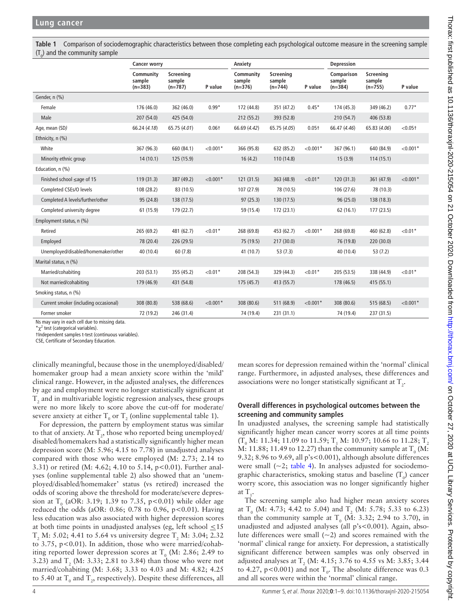<span id="page-3-0"></span>**Table 1** Comparison of sociodemographic characteristics between those completing each psychological outcome measure in the screening sample  $(T_0)$  and the community sample

|                                       | <b>Cancer worry</b>              |                                  |                   | Anxiety                          |                                  |                   | <b>Depression</b>                 |                                  |            |
|---------------------------------------|----------------------------------|----------------------------------|-------------------|----------------------------------|----------------------------------|-------------------|-----------------------------------|----------------------------------|------------|
|                                       | Community<br>sample<br>$(n=383)$ | Screening<br>sample<br>$(n=787)$ | P value           | Community<br>sample<br>$(n=376)$ | Screening<br>sample<br>$(n=744)$ | P value           | Comparison<br>sample<br>$(n=384)$ | Screening<br>sample<br>$(n=755)$ | P value    |
| Gender, n (%)                         |                                  |                                  |                   |                                  |                                  |                   |                                   |                                  |            |
| Female                                | 176 (46.0)                       | 362 (46.0)                       | $0.99*$           | 172 (44.8)                       | 351 (47.2)                       | $0.45*$           | 174 (45.3)                        | 349 (46.2)                       | $0.77*$    |
| Male                                  | 207 (54.0)                       | 425 (54.0)                       |                   | 212 (55.2)                       | 393 (52.8)                       |                   | 210(54.7)                         | 406 (53.8)                       |            |
| Age, mean (SD)                        | 66.24 (4.18)                     | 65.75 (4.01)                     | 0.06 <sub>†</sub> | 66.69 (4.42)                     | 65.75 (4.05)                     | 0.05 <sub>†</sub> | 66.47 (4.46)                      | 65.83 (4.06)                     | < 0.051    |
| Ethnicity, n (%)                      |                                  |                                  |                   |                                  |                                  |                   |                                   |                                  |            |
| White                                 | 367 (96.3)                       | 660 (84.1)                       | $< 0.001*$        | 366 (95.8)                       | 632 (85.2)                       | $< 0.001*$        | 367 (96.1)                        | 640 (84.9)                       | $< 0.001*$ |
| Minority ethnic group                 | 14(10.1)                         | 125 (15.9)                       |                   | 16(4.2)                          | 110 (14.8)                       |                   | 15(3.9)                           | 114(15.1)                        |            |
| Education, n (%)                      |                                  |                                  |                   |                                  |                                  |                   |                                   |                                  |            |
| Finished school ≤age of 15            | 119(31.3)                        | 387 (49.2)                       | $< 0.001*$        | 121(31.5)                        | 363 (48.9)                       | $< 0.01*$         | 120(31.3)                         | 361 (47.9)                       | $< 0.001*$ |
| Completed CSEs/O levels               | 108 (28.2)                       | 83 (10.5)                        |                   | 107 (27.9)                       | 78 (10.5)                        |                   | 106 (27.6)                        | 78 (10.3)                        |            |
| Completed A levels/further/other      | 95 (24.8)                        | 138 (17.5)                       |                   | 97(25.3)                         | 130(17.5)                        |                   | 96(25.0)                          | 138 (18.3)                       |            |
| Completed university degree           | 61(15.9)                         | 179 (22.7)                       |                   | 59 (15.4)                        | 172 (23.1)                       |                   | 62(16.1)                          | 177(23.5)                        |            |
| Employment status, n (%)              |                                  |                                  |                   |                                  |                                  |                   |                                   |                                  |            |
| Retired                               | 265 (69.2)                       | 481 (62.7)                       | ${<}0.01*$        | 268 (69.8)                       | 453 (62.7)                       | $< 0.001*$        | 268 (69.8)                        | 460 (62.8)                       | $< 0.01*$  |
| Employed                              | 78 (20.4)                        | 226 (29.5)                       |                   | 75 (19.5)                        | 217(30.0)                        |                   | 76 (19.8)                         | 220 (30.0)                       |            |
| Unemployed/disabled/homemaker/other   | 40 (10.4)                        | 60(7.8)                          |                   | 41 (10.7)                        | 53(7.3)                          |                   | 40 (10.4)                         | 53(7.2)                          |            |
| Marital status, n (%)                 |                                  |                                  |                   |                                  |                                  |                   |                                   |                                  |            |
| Married/cohabiting                    | 203(53.1)                        | 355 (45.2)                       | ${<}0.01*$        | 208 (54.3)                       | 329 (44.3)                       | ${<}0.01*$        | 205 (53.5)                        | 338 (44.9)                       | $< 0.01*$  |
| Not married/cohabiting                | 179 (46.9)                       | 431 (54.8)                       |                   | 175 (45.7)                       | 413 (55.7)                       |                   | 178 (46.5)                        | 415(55.1)                        |            |
| Smoking status, n (%)                 |                                  |                                  |                   |                                  |                                  |                   |                                   |                                  |            |
| Current smoker (including occasional) | 308 (80.8)                       | 538 (68.6)                       | $< 0.001*$        | 308 (80.6)                       | 511 (68.9)                       | $< 0.001*$        | 308 (80.6)                        | 515(68.5)                        | $< 0.001*$ |
| Former smoker                         | 72 (19.2)                        | 246 (31.4)                       |                   | 74 (19.4)                        | 231(31.1)                        |                   | 74 (19.4)                         | 237 (31.5)                       |            |

Ns may vary in each cell due to missing data.

 $\chi^2$  test (categorical variables).

†Independent samples t-test (continuous variables).

CSE, Certificate of Secondary Education.

clinically meaningful, because those in the unemployed/disabled/ homemaker group had a mean anxiety score within the 'mild' clinical range. However, in the adjusted analyses, the differences by age and employment were no longer statistically significant at  $\mathrm{T}_\mathrm{2}$  and in multivariable logistic regression analyses, these groups were no more likely to score above the cut-off for moderate/ severe anxiety at either  $T_0$  or  $T_2$  [\(online supplemental table 1\)](https://dx.doi.org/10.1136/thoraxjnl-2020-215054).

For depression, the pattern by employment status was similar to that of anxiety. At  $\text{T}_2$ , those who reported being unemployed/ disabled/homemakers had a statistically significantly higher mean depression score (M: 5.96; 4.15 to 7.78) in unadjusted analyses compared with those who were employed (M: 2.73; 2.14 to 3.31) or retired (M: 4.62; 4.10 to 5.14, p<0.01). Further analyses ([online supplemental table 2\)](https://dx.doi.org/10.1136/thoraxjnl-2020-215054) also showed that an 'unemployed/disabled/homemaker' status (vs retired) increased the odds of scoring above the threshold for moderate/severe depression at  $T_0$  (aOR: 3.19; 1.39 to 7.35, p<0.01) while older age reduced the odds (aOR: 0.86; 0.78 to 0.96, p<0.01). Having less education was also associated with higher depression scores at both time points in unadjusted analyses (eg, left school  $\leq 15$  $T_2$  M: 5.02; 4.41 to 5.64 vs university degree  $T_2$  M: 3.04; 2.32 to 3.75, p<0.01). In addition, those who were married/cohabiting reported lower depression scores at  $T_0$  (M: 2.86; 2.49 to 3.23) and  $T_2$  (M: 3.33; 2.81 to 3.84) than those who were not married/cohabiting (M: 3.68; 3.33 to 4.03 and M: 4.82; 4.25 to 5.40 at  $T_0$  and  $T_2$ , respectively). Despite these differences, all mean scores for depression remained within the 'normal' clinical range. Furthermore, in adjusted analyses, these differences and associations were no longer statistically significant at  $\mathrm{T}_2^{}$ .

### **Overall differences in psychological outcomes between the screening and community samples**

In unadjusted analyses, the screening sample had statistically significantly higher mean cancer worry scores at all time points  $(T_0 M: 11.34; 11.09 \text{ to } 11.59; T_1 M: 10.97; 10.66 \text{ to } 11.28; T_2$ M: 11.88; 11.49 to 12.27) than the community sample at T<sub>0</sub> (M: 9.32; 8.96 to 9.69, all p's<0.001), although absolute differences were small  $(\sim 2;$  [table](#page-6-0) 4). In analyses adjusted for sociodemographic characteristics, smoking status and baseline  $(T_0)$  cancer worry score, this association was no longer significantly higher at  $T_{1}$ .

The screening sample also had higher mean anxiety scores at T<sub>0</sub> (M: 4.73; 4.42 to 5.04) and T<sub>2</sub> (M: 5.78; 5.33 to 6.23) than the community sample at  $T_0$  (M: 3.32; 2.94 to 3.70), in unadjusted and adjusted analyses (all p's<0.001). Again, absolute differences were small  $(-2)$  and scores remained with the 'normal' clinical range for anxiety. For depression, a statistically significant difference between samples was only observed in adjusted analyses at T<sub>2</sub> (M: 4.15; 3.76 to 4.55 vs M: 3.85; 3.44 to 4.27, p<0.001) and not  $T_0$ . The absolute difference was 0.3 and all scores were within the 'normal' clinical range.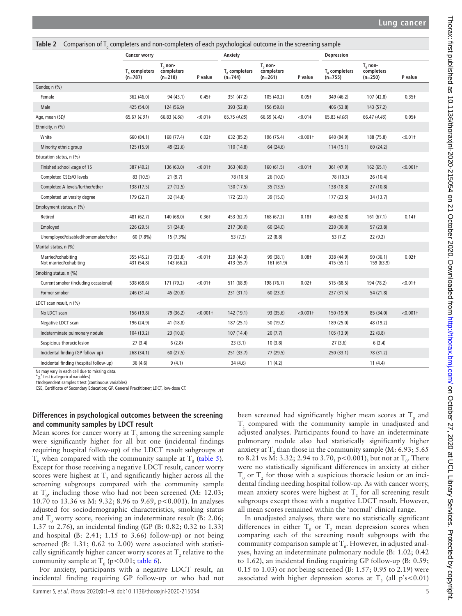<span id="page-4-0"></span>

| Comparison of $T_n$ completers and non-completers of each psychological outcome in the screening sample<br>Table 2 |                                 |                                       |                   |                                        |                                         |                   |                                        |                                         |                   |
|--------------------------------------------------------------------------------------------------------------------|---------------------------------|---------------------------------------|-------------------|----------------------------------------|-----------------------------------------|-------------------|----------------------------------------|-----------------------------------------|-------------------|
|                                                                                                                    | <b>Cancer worry</b>             |                                       |                   | Anxiety                                |                                         |                   | <b>Depression</b>                      |                                         |                   |
|                                                                                                                    | $T_{0}$ completers<br>$(n=787)$ | $T_0$ non-<br>completers<br>$(n=218)$ | P value           | T <sub>o</sub> completers<br>$(n=744)$ | $T_{0}$ non-<br>completers<br>$(n=261)$ | P value           | T <sub>o</sub> completers<br>$(n=755)$ | $T_{0}$ non-<br>completers<br>$(n=250)$ | P value           |
| Gender, n (%)                                                                                                      |                                 |                                       |                   |                                        |                                         |                   |                                        |                                         |                   |
| Female                                                                                                             | 362 (46.0)                      | 94 (43.1)                             | 0.45 <sup>†</sup> | 351 (47.2)                             | 105 (40.2)                              | 0.05 <sub>†</sub> | 349 (46.2)                             | 107 (42.8)                              | $0.35+$           |
| Male                                                                                                               | 425 (54.0)                      | 124 (56.9)                            |                   | 393 (52.8)                             | 156 (59.8)                              |                   | 406 (53.8)                             | 143 (57.2)                              |                   |
| Age, mean (SD)                                                                                                     | 65.67 (4.01)                    | 66.83 (4.60)                          | $<0.01$ ‡         | 65.75 (4.05)                           | 66.69 (4.42)                            | $< 0.01$ ‡        | 65.83 (4.06)                           | 66.47 (4.46)                            | 0.05 <sup>‡</sup> |
| Ethnicity, n (%)                                                                                                   |                                 |                                       |                   |                                        |                                         |                   |                                        |                                         |                   |
| White                                                                                                              | 660 (84.1)                      | 168 (77.4)                            | $0.02+$           | 632 (85.2)                             | 196 (75.4)                              | $< 0.001$ †       | 640 (84.9)                             | 188 (75.8)                              | < 0.011           |
| Minority ethnic group                                                                                              | 125 (15.9)                      | 49 (22.6)                             |                   | 110 (14.8)                             | 64 (24.6)                               |                   | 114(15.1)                              | 60(24.2)                                |                   |
| Education status, n (%)                                                                                            |                                 |                                       |                   |                                        |                                         |                   |                                        |                                         |                   |
| Finished school ≤age of 15                                                                                         | 387 (49.2)                      | 136 (63.0)                            | < 0.011           | 363 (48.9)                             | 160 (61.5)                              | < 0.011           | 361 (47.9)                             | 162 (65.1)                              | $< 0.001$ †       |
| Completed CSEs/O levels                                                                                            | 83 (10.5)                       | 21(9.7)                               |                   | 78 (10.5)                              | 26 (10.0)                               |                   | 78 (10.3)                              | 26 (10.4)                               |                   |
| Completed A-levels/further/other                                                                                   | 138 (17.5)                      | 27(12.5)                              |                   | 130 (17.5)                             | 35 (13.5)                               |                   | 138 (18.3)                             | 27(10.8)                                |                   |
| Completed university degree                                                                                        | 179 (22.7)                      | 32 (14.8)                             |                   | 172 (23.1)                             | 39 (15.0)                               |                   | 177 (23.5)                             | 34 (13.7)                               |                   |
| Employment status, n (%)                                                                                           |                                 |                                       |                   |                                        |                                         |                   |                                        |                                         |                   |
| Retired                                                                                                            | 481 (62.7)                      | 140 (68.0)                            | $0.36+$           | 453 (62.7)                             | 168 (67.2)                              | 0.18†             | 460 (62.8)                             | 161 (67.1)                              | 0.14 <sup>†</sup> |
| Employed                                                                                                           | 226 (29.5)                      | 51 (24.8)                             |                   | 217 (30.0)                             | 60 (24.0)                               |                   | 220 (30.0)                             | 57(23.8)                                |                   |
| Unemployed/disabled/homemaker/other                                                                                | 60 (7.8%)                       | 15 (7.3%)                             |                   | 53(7.3)                                | 22 (8.8)                                |                   | 53(7.2)                                | 22(9.2)                                 |                   |
| Marital status, n (%)                                                                                              |                                 |                                       |                   |                                        |                                         |                   |                                        |                                         |                   |
| Married/cohabiting<br>Not married/cohabiting                                                                       | 355 (45.2)<br>431 (54.8)        | 73 (33.8)<br>143 (66.2)               | < 0.011           | 329 (44.3)<br>413 (55.7)               | 99 (38.1)<br>161 (61.9)                 | 0.08 <sub>†</sub> | 338 (44.9)<br>415 (55.1)               | 90(36.1)<br>159 (63.9)                  | $0.02+$           |
| Smoking status, n (%)                                                                                              |                                 |                                       |                   |                                        |                                         |                   |                                        |                                         |                   |
| Current smoker (including occasional)                                                                              | 538 (68.6)                      | 171 (79.2)                            | < 0.011           | 511 (68.9)                             | 198 (76.7)                              | $0.02+$           | 515 (68.5)                             | 194 (78.2)                              | < 0.011           |
| Former smoker                                                                                                      | 246 (31.4)                      | 45 (20.8)                             |                   | 231 (31.1)                             | 60(23.3)                                |                   | 237 (31.5)                             | 54 (21.8)                               |                   |
| LDCT scan result, n (%)                                                                                            |                                 |                                       |                   |                                        |                                         |                   |                                        |                                         |                   |
| No LDCT scan                                                                                                       | 156 (19.8)                      | 79 (36.2)                             | $< 0.001$ †       | 142 (19.1)                             | 93 (35.6)                               | $< 0.001$ †       | 150 (19.9)                             | 85 (34.0)                               | $< 0.001$ †       |
| Negative LDCT scan                                                                                                 | 196 (24.9)                      | 41 (18.8)                             |                   | 187 (25.1)                             | 50 (19.2)                               |                   | 189 (25.0)                             | 48 (19.2)                               |                   |
| Indeterminate pulmonary nodule                                                                                     | 104 (13.2)                      | 23(10.6)                              |                   | 107 (14.4)                             | 20(7.7)                                 |                   | 105 (13.9)                             | 22(8.8)                                 |                   |
| Suspicious thoracic lesion                                                                                         | 27(3.4)                         | 6(2.8)                                |                   | 23(3.1)                                | 10(3.8)                                 |                   | 27(3.6)                                | 6(2.4)                                  |                   |
| Incidental finding (GP follow-up)                                                                                  | 268 (34.1)                      | 60(27.5)                              |                   | 251 (33.7)                             | 77 (29.5)                               |                   | 250 (33.1)                             | 78 (31.2)                               |                   |
| Incidental finding (hospital follow-up)                                                                            | 36(4.6)                         | 9(4.1)                                |                   | 34 (4.6)                               | 11(4.2)                                 |                   |                                        | 11(4.4)                                 |                   |

Ns may vary in each cell due to missing data.

 $*\chi^2$  test (categorical variables)

†Independent samples t test (continuous variables)

CSE, Certificate of Secondary Education; GP, General Practitioner; LDCT, low-dose CT.

### **Differences in psychological outcomes between the screening and community samples by LDCT result**

Mean scores for cancer worry at  $T_2$  among the screening sample were significantly higher for all but one (incidental findings requiring hospital follow-up) of the LDCT result subgroups at  $T_0$  when compared with the community sample at  $T_0$  [\(table](#page-6-1) 5). Except for those receiving a negative LDCT result, cancer worry scores were highest at  $T_2$  and significantly higher across all the screening subgroups compared with the community sample at  $T_0$ , including those who had not been screened (M: 12.03; 10.70 to 13.36 vs M: 9.32; 8.96 to 9.69, p<0.001). In analyses adjusted for sociodemographic characteristics, smoking status and  $T_0$  worry score, receiving an indeterminate result (B: 2.06; 1.37 to 2.76), an incidental finding (GP (B: 0.82; 0.32 to 1.33) and hospital (B: 2.41; 1.15 to 3.66) follow-up) or not being screened (B: 1.31; 0.62 to 2.00) were associated with statistically significantly higher cancer worry scores at  $T_2$  relative to the community sample at  $T_0$  (p<0.01; [table](#page-7-0) 6).

For anxiety, participants with a negative LDCT result, an incidental finding requiring GP follow-up or who had not

been screened had significantly higher mean scores at  $T_0$  and  $T_2$  compared with the community sample in unadjusted and adjusted analyses. Participants found to have an indeterminate pulmonary nodule also had statistically significantly higher anxiety at  $T_2$  than those in the community sample (M: 6.93; 5.65 to 8.21 vs M: 3.32; 2.94 to 3.70, p<0.001), but not at  $T_0$ . There were no statistically significant differences in anxiety at either  $T_0$  or  $T_2$  for those with a suspicious thoracic lesion or an incidental finding needing hospital follow-up. As with cancer worry, mean anxiety scores were highest at  $T<sub>2</sub>$  for all screening result subgroups except those with a negative LDCT result. However, all mean scores remained within the 'normal' clinical range.

In unadjusted analyses, there were no statistically significant differences in either  $T_0$  or  $T_2$  mean depression scores when comparing each of the screening result subgroups with the community comparison sample at  $T_0$ . However, in adjusted analyses, having an indeterminate pulmonary nodule (B: 1.02; 0.42 to 1.62), an incidental finding requiring GP follow-up (B: 0.59; 0.15 to 1.03) or not being screened (B: 1.57; 0.95 to 2.19) were associated with higher depression scores at  $T_2$  (all p's<0.01)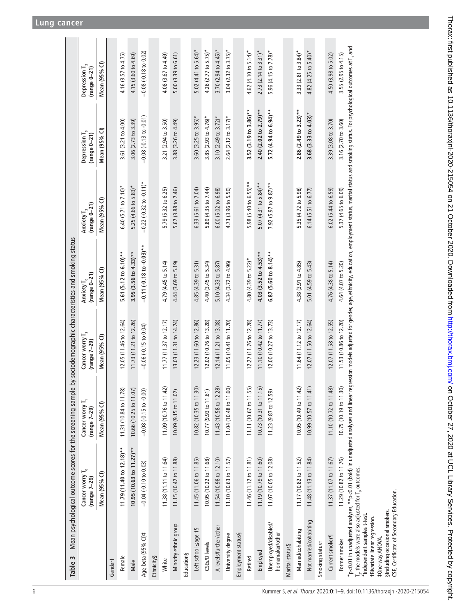| Table 3                                                                                                                                | Mean psychological outcome scores for the screening sample                                 |                                               |                                      | by sociodemographic characteristics and smoking status |                                          |                                                                                                                                                            |                                             |
|----------------------------------------------------------------------------------------------------------------------------------------|--------------------------------------------------------------------------------------------|-----------------------------------------------|--------------------------------------|--------------------------------------------------------|------------------------------------------|------------------------------------------------------------------------------------------------------------------------------------------------------------|---------------------------------------------|
|                                                                                                                                        | $\overline{\phantom{a}}$<br>Cancer worry<br>$(range 7-29)$                                 | Cancer worry T <sub>1</sub><br>$(range 7-29)$ | Cancer worry $I_2$<br>$(range 7-29)$ | Anxiety T <sub>o</sub><br>(range 0–21)                 | $(range 0-21)$<br>Anxiety $\mathbf{T}_2$ | Depression $\mathbf{T_0}$<br>$(range 0-21)$                                                                                                                | Depression $\mathbf{T}_2$<br>$(range 0-21)$ |
|                                                                                                                                        | Mean (95% CI)                                                                              | Mean (95% CI)                                 | Mean (95% CI)                        | Mean (95% CI)                                          | Mean (95% CI)                            | Mean (95% CI)                                                                                                                                              | Mean (95% CI)                               |
| Gendert                                                                                                                                |                                                                                            |                                               |                                      |                                                        |                                          |                                                                                                                                                            |                                             |
| Female                                                                                                                                 | 11.79 (11.40 to 12.18)**                                                                   | 11.31 (10.84 to 11.78)                        | 12.05 (11.46 to 12.64)               | 5.61 (5.12 to 6.10)**                                  | 6.40 (5.71 to 7.10)*                     | 3.61 (3.21 to 4.00)                                                                                                                                        | 4.16 (3.57 to 4.75)                         |
| Male                                                                                                                                   | $10.95(10.63 to 11.27)$ **                                                                 | 10.66 (10.25 to 11.07)                        | 11.73 (11.21 to 12.26)               | 3.95 (3.56 to 4.33) **                                 | 5.25 (4.66 to 5.83)*                     | 3.06 (2.73 to 3.39)                                                                                                                                        | 4.15 (3.60 to 4.69)                         |
| Age, beta (95% CI)#                                                                                                                    | $-0.04 (-0.10 to 0.03)$                                                                    | $-0.08$ $(-0.15$ to $-0.00)$                  | $-0.06 (-0.15 to 0.04)$              | $-0.11$ $(-0.18$ to $-0.03)$ **                        | $-0.22$ $(-0.32$ to $-0.11)$ *           | $-0.08 (-0.13 to -0.01)$                                                                                                                                   | $-0.08 (-0.18 to 0.02)$                     |
| Ethnicity§                                                                                                                             |                                                                                            |                                               |                                      |                                                        |                                          |                                                                                                                                                            |                                             |
| White                                                                                                                                  | 11.38 (11.11 to 11.64)                                                                     | 11.09 (10.76 to 11.42)                        | 11.77 (11.37 to 12.17)               | 4.79 (4.45 to 5.14)                                    | 5.79 (5.32 to 6.25)                      | 3.21 (2.94 to 3.50)                                                                                                                                        | 4.08 (3.67 to 4.49)                         |
| Minority ethnic group                                                                                                                  | 11.15 (10.42 to 11.88)                                                                     | 10.09 (9.15 to 11.02)                         | 13.03 (11.31 to 14.74)               | 4.44 (3.69 to 5.19)                                    | 5.67 (3.88 to 7.46)                      | 3.88 (3.26 to 4.49)                                                                                                                                        | 5.00 (3.39 to 6.61)                         |
| Education§                                                                                                                             |                                                                                            |                                               |                                      |                                                        |                                          |                                                                                                                                                            |                                             |
| Left school sage 15                                                                                                                    | 11.45 (11.06 to 11.85)                                                                     | 10.82 (10.35 to 11.30)                        | 12.23 (11.60 to 12.86)               | 4.85 (4.39 to 5.31)                                    | 6.33 (5.61 to 7.04)                      | 3.60 (3.25 to 3.95)*                                                                                                                                       | 5.02 $(4.41$ to 5.64)*                      |
| CSEs/O levels                                                                                                                          | 10.95 (10.22 to 11.68)                                                                     | 10.77 (9.93 to 11.61)                         | 12.02 (10.76 to 13.28)               | 4.40 (3.45 to 5.34)                                    | 5.89 (4.35 to 7.44)                      | 3.85 (2.93 to $4.76$ )*                                                                                                                                    | 4.26 (2.77 to 5.75)*                        |
| A levels/further/other                                                                                                                 | 11.54 (10.98 to 12.10)                                                                     | 11.43 (10.58 to 12.28)                        | 12.14 (11.21 to 13.08)               | 5.10 (4.33 to 5.87)                                    | 6.00 (5.02 to 6.98)                      | 3.10 $(2.49$ to 3.72)*                                                                                                                                     | 3.70 $(2.94$ to $4.45)$ *                   |
| University degree                                                                                                                      | 11.10 (10.63 to 11.57)                                                                     | 11.04 (10.48 to 11.60)                        | 11.05 (10.41 to 11.70)               | 4.34 (3.72 to 4.96)                                    | 4.73 (3.96 to 5.50)                      | $2.64(2.12$ to $3.17)$ *                                                                                                                                   | $3.04$ (2.32 to 3.75)*                      |
| Employment status§                                                                                                                     |                                                                                            |                                               |                                      |                                                        |                                          |                                                                                                                                                            |                                             |
| Retired                                                                                                                                | 11.46 (11.12 to 11.81)                                                                     | 11.11 (10.67 to 11.55)                        | 12.27 (11.76 to 12.78)               | 4.80 (4.39 to 5.22)*                                   | 5.98 (5.40 to 6.55)**                    | $3.52(3.19 to 3.86)$ **                                                                                                                                    | 4.62 (4.10 to 5.14)*                        |
| Employed                                                                                                                               | 11.19 (10.79 to 11.60)                                                                     | 10.73 (10.31 to 11.15)                        | 11.10 (10.42 to 11.77)               | $4.03$ (3.52 to $4.53$ )**                             | 5.07 (4.31 to 5.84)**                    | $2.40(2.02 to 2.79)$ **                                                                                                                                    | $2.73$ (2.14 to 3.31)*                      |
| Unemployed/disabled/<br>homemaker/other                                                                                                | 11.07 (10.05 to 12.08)                                                                     | 11.23 (9.87 to 12.59)                         | 12.00 (10.27 to 13.73)               | $6.87$ (5.60 to 8.14)**                                | 7.92 (5.97 to 9.87)**                    | 5.72 $(4.94 \text{ to } 6.94)^{**}$                                                                                                                        | 5.96 (4.15 to 7.78)*                        |
| Marital status§                                                                                                                        |                                                                                            |                                               |                                      |                                                        |                                          |                                                                                                                                                            |                                             |
| Married/cohabiting                                                                                                                     | 11.17 (10.82 to 11.52)                                                                     | 10.95 (10.49 to 11.42)                        | 11.64 (11.12 to 12.17)               | 4.38 (3.91 to 4.85)                                    | 5.35 (4.72 to 5.98)                      | $2.86(2.49 to 3.23)**$                                                                                                                                     | 3.33 (2.81 to 3.84)*                        |
| Not married/cohabiting                                                                                                                 | 11.48 (11.13 to 11.84)                                                                     | 10.99 (10.57 to 11.41)                        | 12.07 (11.50 to 12.64)               | 5.01 (4.59 to 5.43)                                    | 6.14 (5.51 to 6.77)                      | $3.68$ (3.33 to 4.03)*                                                                                                                                     | 4.82 (4.25 to 5.40)*                        |
| Smoking statust                                                                                                                        |                                                                                            |                                               |                                      |                                                        |                                          |                                                                                                                                                            |                                             |
| Current smoker¶                                                                                                                        | 11.37 (11.07 to 11.67)                                                                     | 11.10 (10.72 to 11.48)                        | 12.07 (11.58 to 12.55)               | 4.76 (4.38 to 5.14)                                    | 6.02 (5.44 to 6.59)                      | 3.39 (3.08 to 3.70)                                                                                                                                        | 4.50 (3.98 to 5.02)                         |
| Former smoker                                                                                                                          | 11.29 (10.82 to 11.76)                                                                     | 10.75 (10.19 to 11.30)                        | 11.53 (10.86 to 12.20)               | 4.64 (4.07 to 5.20)                                    | 5.37 (4.65 to 6.09)                      | 3.16 (2.70 to 3.60)                                                                                                                                        | 3.55 (2.95 to 4.15)                         |
| $T_{\rm z}$ , the models were also adjusted for $T_{\rm o}$ outcomes.<br>*Independent samples t-test.<br>+Bivariate linear regression. | $*$ p<0.01 in unadjusted analyses, $*$ p<0.01 (bold) in unadjusted analyses and linear reg |                                               |                                      |                                                        |                                          | ression models adjusted for gender, age, ethnicity, education, employment status, marital status and smoking status. For psychological outcomes at T , and |                                             |

‡One-way ANOVA. §Including occasional smokers. CSE, Certificate of Secondary Education.

<span id="page-5-0"></span>#One-way ANOVA.

SIncluding occasional smokers.<br>CSE, Certificate of Secondary Education.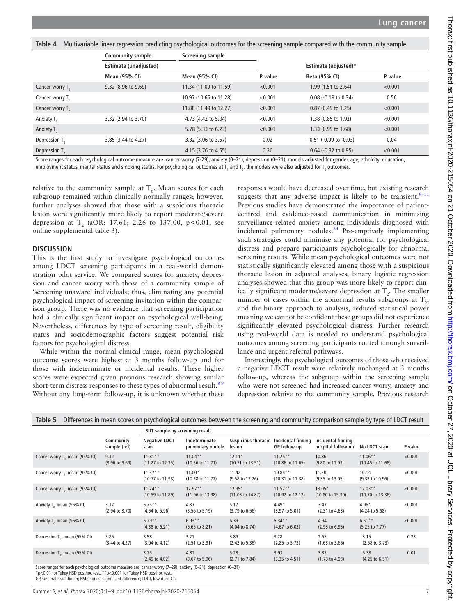<span id="page-6-0"></span>**Table 4** Multivariable linear regression predicting psychological outcomes for the screening sample compared with the community sample

|                             | <b>Community sample</b> | Screening sample       |         |                             |         |
|-----------------------------|-------------------------|------------------------|---------|-----------------------------|---------|
|                             | Estimate (unadjusted)   |                        |         | <b>Estimate (adjusted)*</b> |         |
|                             | Mean (95% CI)           | Mean (95% CI)          | P value | Beta (95% CI)               | P value |
| Cancer worry $T_{0}$        | 9.32 (8.96 to 9.69)     | 11.34 (11.09 to 11.59) | < 0.001 | 1.99 (1.51 to 2.64)         | < 0.001 |
| Cancer worry T.             |                         | 10.97 (10.66 to 11.28) | < 0.001 | $0.08$ (-0.19 to 0.34)      | 0.56    |
| Cancer worry T <sub>2</sub> |                         | 11.88 (11.49 to 12.27) | < 0.001 | 0.87 (0.49 to 1.25)         | < 0.001 |
| Anxiety T <sub>o</sub>      | 3.32 (2.94 to 3.70)     | 4.73 (4.42 to 5.04)    | < 0.001 | 1.38 (0.85 to 1.92)         | < 0.001 |
| Anxiety $T_{2}$             |                         | 5.78 (5.33 to 6.23)    | < 0.001 | 1.33 (0.99 to 1.68)         | < 0.001 |
| Depression $T_{0}$          | 3.85 (3.44 to 4.27)     | 3.32 (3.06 to 3.57)    | 0.02    | $-0.51$ (-0.99 to -0.03)    | 0.04    |
| Depression T <sub>2</sub>   |                         | 4.15 (3.76 to 4.55)    | 0.30    | $0.64$ (-0.32 to 0.95)      | < 0.001 |

Score ranges for each psychological outcome measure are: cancer worry (7-29), anxiety (0–21), depression (0–21); models adjusted for gender, age, ethnicity, education, employment status, marital status and smoking status. For psychological outcomes at T<sub>1</sub> and T<sub>2</sub>, the models were also adjusted for T<sub>0</sub> outcomes.

relative to the community sample at  $T_0$ . Mean scores for each subgroup remained within clinically normally ranges; however, further analyses showed that those with a suspicious thoracic lesion were significantly more likely to report moderate/severe depression at  $T_2$  (aOR: 17.61; 2.26 to 137.00, p<0.01, see [online supplemental table 3](https://dx.doi.org/10.1136/thoraxjnl-2020-215054)).

#### **DISCUSSION**

This is the first study to investigate psychological outcomes among LDCT screening participants in a real-world demonstration pilot service. We compared scores for anxiety, depression and cancer worry with those of a community sample of 'screening unaware' individuals; thus, eliminating any potential psychological impact of screening invitation within the comparison group. There was no evidence that screening participation had a clinically significant impact on psychological well-being. Nevertheless, differences by type of screening result, eligibility status and sociodemographic factors suggest potential risk factors for psychological distress.

While within the normal clinical range, mean psychological outcome scores were highest at 3 months follow-up and for those with indeterminate or incidental results. These higher scores were expected given previous research showing similar short-term distress responses to these types of abnormal result.<sup>89</sup> Without any long-term follow-up, it is unknown whether these

responses would have decreased over time, but existing research suggests that any adverse impact is likely to be transient. $9-11$ Previous studies have demonstrated the importance of patientcentred and evidence-based communication in minimising surveillance-related anxiety among individuals diagnosed with incidental pulmonary nodules.[23](#page-8-18) Pre-emptively implementing such strategies could minimise any potential for psychological distress and prepare participants psychologically for abnormal screening results. While mean psychological outcomes were not statistically significantly elevated among those with a suspicious thoracic lesion in adjusted analyses, binary logistic regression analyses showed that this group was more likely to report clinically significant moderate/severe depression at  $T_2$ . The smaller number of cases within the abnormal results subgroups at  $T_{2}$ , and the binary approach to analysis, reduced statistical power meaning we cannot be confident these groups did not experience significantly elevated psychological distress. Further research using real-world data is needed to understand psychological outcomes among screening participants routed through surveillance and urgent referral pathways.

Interestingly, the psychological outcomes of those who received a negative LDCT result were relatively unchanged at 3 months follow-up, whereas the subgroup within the screening sample who were not screened had increased cancer worry, anxiety and depression relative to the community sample. Previous research

<span id="page-6-1"></span>

| Table 5                                     | Differences in mean scores on psychological outcomes between the screening and community comparison sample by type of LDCT result |                                           |                                           |                                         |                                          |                                          |                                           |         |  |  |
|---------------------------------------------|-----------------------------------------------------------------------------------------------------------------------------------|-------------------------------------------|-------------------------------------------|-----------------------------------------|------------------------------------------|------------------------------------------|-------------------------------------------|---------|--|--|
|                                             |                                                                                                                                   | LSUT sample by screening result           |                                           |                                         |                                          |                                          |                                           |         |  |  |
|                                             | Community<br>sample (ref)                                                                                                         | <b>Negative LDCT</b><br>scan              | Indeterminate<br>pulmonary nodule         | <b>Suspicious thoracic</b><br>lesion    | Incidental finding<br>GP follow-up       | Incidental finding<br>hospital follow-up | No LDCT scan                              | P value |  |  |
| Cancer worry $T_{\alpha}$ , mean (95% CI)   | 9.32<br>$(8.96 \text{ to } 9.69)$                                                                                                 | $11.81***$<br>$(11.27 \text{ to } 12.35)$ | $11.04***$<br>$(10.36 \text{ to } 11.71)$ | $12.11*$<br>$(10.71 \text{ to } 13.51)$ | $11.25**$<br>$(10.86 \text{ to } 11.65)$ | 10.86<br>$(9.80 \text{ to } 11.93)$      | $11.06***$<br>$(10.45 \text{ to } 11.68)$ | < 0.001 |  |  |
| Cancer worry T., mean (95% CI)              |                                                                                                                                   | $11.37**$<br>(10.77 to 11.98)             | $11.00*$<br>$(10.28 \text{ to } 11.72)$   | 11.42<br>$(9.58 \text{ to } 13.26)$     | $10.84**$<br>$(10.31 \text{ to } 11.38)$ | 11.20<br>$(9.35 \text{ to } 13.05)$      | 10.14<br>$(9.32 \text{ to } 10.96)$       | < 0.001 |  |  |
| Cancer worry T <sub>2</sub> , mean (95% CI) |                                                                                                                                   | $11.24**$<br>$(10.59 \text{ to } 11.89)$  | $12.97**$<br>(11.96 to 13.98)             | $12.95*$<br>$(11.03 \text{ to } 14.87)$ | $11.52**$<br>$(10.92 \text{ to } 12.12)$ | $13.05*$<br>$(10.80 \text{ to } 15.30)$  | $12.03**$<br>$(10.70 \text{ to } 13.36)$  | < 0.001 |  |  |
| Anxiety T <sub>o</sub> , mean (95% CI)      | 3.32<br>$(2.94 \text{ to } 3.70)$                                                                                                 | $5.25**$<br>$(4.54 \text{ to } 5.96)$     | 4.37<br>$(3.56 \text{ to } 5.19)$         | 5.17<br>$(3.79 \text{ to } 6.56)$       | $4.49*$<br>$(3.97 \text{ to } 5.01)$     | 3.47<br>(2.31 to 4.63)                   | $4.96*$<br>$(4.24 \text{ to } 5.68)$      | < 0.001 |  |  |
| Anxiety T <sub>2</sub> , mean (95% CI)      |                                                                                                                                   | $5.29**$<br>$(4.38 \text{ to } 6.21)$     | $6.93**$<br>$(5.65 \text{ to } 8.21)$     | 6.39<br>$(4.04 \text{ to } 8.74)$       | $5.34***$<br>$(4.67 \text{ to } 6.02)$   | 4.94<br>$(2.93 \text{ to } 6.95)$        | $6.51**$<br>$(5.25 \text{ to } 7.77)$     | < 0.001 |  |  |
| Depression T <sub>o</sub> , mean (95% CI)   | 3.85<br>$(3.44 \text{ to } 4.27)$                                                                                                 | 3.58<br>$(3.04 \text{ to } 4.12)$         | 3.21<br>(2.51 to 3.91)                    | 3.89<br>$(2.42 \text{ to } 5.36)$       | 3.28<br>$(2.85 \text{ to } 3.72)$        | 2.65<br>$(1.63 \text{ to } 3.66)$        | 3.15<br>$(2.58 \text{ to } 3.73)$         | 0.23    |  |  |
| Depression T <sub>2</sub> , mean (95% CI)   |                                                                                                                                   | 3.25<br>$(2.49 \text{ to } 4.02)$         | 4.81<br>$(3.67 \text{ to } 5.96)$         | 5.28<br>$(2.71$ to $7.84)$              | 3.93<br>$(3.35 \text{ to } 4.51)$        | 3.33<br>$(1.73 \text{ to } 4.93)$        | 5.38<br>$(4.25 \text{ to } 6.51)$         | 0.01    |  |  |

Score ranges for each psychological outcome measure are: cancer worry (7–29), anxiety (0–21), depression (0–21).

\*p<0.01 for Tukey HSD posthoc test, \*\*p<0.001 for Tukey HSD posthoc test.

GP, General Practitioner; HSD, honest significant difference; LDCT, low-dose CT.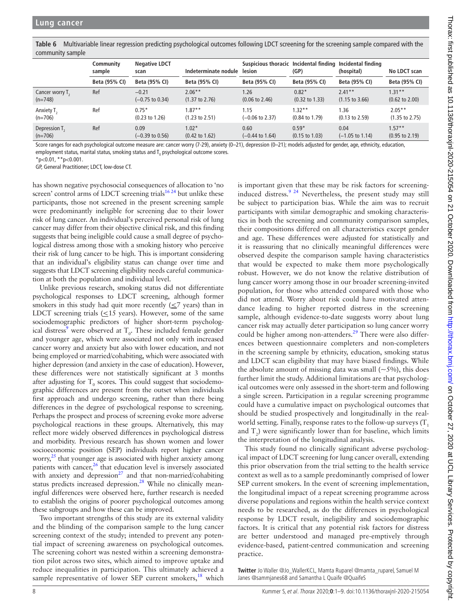<span id="page-7-0"></span>**Table 6** Multivariable linear regression predicting psychological outcomes following LDCT screening for the screening sample compared with the community sample

|                             | Community<br>sample | <b>Negative LDCT</b><br>scan | Indeterminate nodule      | Suspicious thoracic Incidental finding<br>lesion | (GP)                      | Incidental finding<br>(hospital) | No LDCT scan              |
|-----------------------------|---------------------|------------------------------|---------------------------|--------------------------------------------------|---------------------------|----------------------------------|---------------------------|
|                             | Beta (95% CI)       | Beta (95% CI)                | Beta (95% CI)             | Beta (95% CI)                                    | Beta (95% CI)             | Beta (95% CI)                    | Beta (95% CI)             |
| Cancer worry T <sub>2</sub> | Ref                 | $-0.21$                      | $2.06**$                  | 1.26                                             | $0.82*$                   | $7.41**$                         | $1.31***$                 |
| $(n=748)$                   |                     | $(-0.75 \text{ to } 0.34)$   | $(1.37 \text{ to } 2.76)$ | $(0.06 \text{ to } 2.46)$                        | $(0.32 \text{ to } 1.33)$ | $(1.15 \text{ to } 3.66)$        | $(0.62 \text{ to } 2.00)$ |
| Anxiety T <sub>2</sub>      | Ref                 | $0.75*$                      | $1.87**$                  | 1.15                                             | $1.32**$                  | 1.36                             | $2.05***$                 |
| $(n=706)$                   |                     | $(0.23 \text{ to } 1.26)$    | $(1.23 \text{ to } 2.51)$ | $(-0.06 \text{ to } 2.37)$                       | $(0.84 \text{ to } 1.79)$ | $(0.13 \text{ to } 2.59)$        | $(1.35 \text{ to } 2.75)$ |
| Depression T <sub>2</sub>   | Ref                 | 0.09                         | $1.02*$                   | 0.60                                             | $0.59*$                   | 0.04                             | $1.57**$                  |
| $(n=706)$                   |                     | $(-0.39 \text{ to } 0.56)$   | $(0.42 \text{ to } 1.62)$ | $(-0.44 \text{ to } 1.64)$                       | $(0.15 \text{ to } 1.03)$ | $(-1.05 \text{ to } 1.14)$       | $(0.95 \text{ to } 2.19)$ |

Score ranges for each psychological outcome measure are: cancer worry (7-29), anxiety (0-21), depression (0-21); models adjusted for gender, age, ethnicity, education, employment status, marital status, smoking status and  ${\tt T}_{{}_0}$  psychological outcome scores.

 $*$ p<0.01,  $*$  $*$ p<0.001.

GP, General Practitioner; LDCT, low-dose CT.

has shown negative psychosocial consequences of allocation to 'no screen' control arms of LDCT screening trials<sup>16 24</sup> but unlike these participants, those not screened in the present screening sample were predominantly ineligible for screening due to their lower risk of lung cancer. An individual's perceived personal risk of lung cancer may differ from their objective clinical risk, and this finding suggests that being ineligible could cause a small degree of psychological distress among those with a smoking history who perceive their risk of lung cancer to be high. This is important considering that an individual's eligibility status can change over time and suggests that LDCT screening eligibility needs careful communication at both the population and individual level.

Unlike previous research, smoking status did not differentiate psychological responses to LDCT screening, although former smokers in this study had quit more recently  $(\leq 7$  years) than in LDCT screening trials  $(\leq 15$  years). However, some of the same sociodemographic predictors of higher short-term psychological distress<sup>9</sup> were observed at  $T_0$ . These included female gender and younger age, which were associated not only with increased cancer worry and anxiety but also with lower education, and not being employed or married/cohabiting, which were associated with higher depression (and anxiety in the case of education). However, these differences were not statistically significant at 3 months after adjusting for  $T_0$  scores. This could suggest that sociodemographic differences are present from the outset when individuals first approach and undergo screening, rather than there being differences in the degree of psychological response to screening. Perhaps the prospect and process of screening evoke more adverse psychological reactions in these groups. Alternatively, this may reflect more widely observed differences in psychological distress and morbidity. Previous research has shown women and lower socioeconomic position (SEP) individuals report higher cancer worry,<sup>25</sup> that younger age is associated with higher anxiety among patients with cancer, $26$  that education level is inversely associated with anxiety and depression<sup>27</sup> and that non-married/cohabiting status predicts increased depression.[28](#page-8-22) While no clinically meaningful differences were observed here, further research is needed to establish the origins of poorer psychological outcomes among these subgroups and how these can be improved.

Two important strengths of this study are its external validity and the blinding of the comparison sample to the lung cancer screening context of the study; intended to prevent any potential impact of screening awareness on psychological outcomes. The screening cohort was nested within a screening demonstration pilot across two sites, which aimed to improve uptake and reduce inequalities in participation. This ultimately achieved a sample representative of lower SEP current smokers, $^{18}$  $^{18}$  $^{18}$  which

is important given that these may be risk factors for screening-induced distress.<sup>[9 24](#page-8-8)</sup> Nevertheless, the present study may still be subject to participation bias. While the aim was to recruit participants with similar demographic and smoking characteristics in both the screening and community comparison samples, their compositions differed on all characteristics except gender and age. These differences were adjusted for statistically and it is reassuring that no clinically meaningful differences were observed despite the comparison sample having characteristics that would be expected to make them more psychologically robust. However, we do not know the relative distribution of lung cancer worry among those in our broader screening-invited population, for those who attended compared with those who did not attend. Worry about risk could have motivated attendance leading to higher reported distress in the screening sample, although evidence-to-date suggests worry about lung cancer risk may actually deter participation so lung cancer worry could be higher among non-attenders.<sup>29</sup> There were also differences between questionnaire completers and non-completers in the screening sample by ethnicity, education, smoking status and LDCT scan eligibility that may have biased findings. While the absolute amount of missing data was small  $(-5\%)$ , this does further limit the study. Additional limitations are that psychological outcomes were only assessed in the short-term and following a single screen. Participation in a regular screening programme could have a cumulative impact on psychological outcomes that should be studied prospectively and longitudinally in the realworld setting. Finally, response rates to the follow-up surveys  $(T_1)$ and  $T_2$ ) were significantly lower than for baseline, which limits the interpretation of the longitudinal analysis.

This study found no clinically significant adverse psychological impact of LDCT screening for lung cancer overall, extending this prior observation from the trial setting to the health service context as well as to a sample predominantly comprised of lower SEP current smokers. In the event of screening implementation, the longitudinal impact of a repeat screening programme across diverse populations and regions within the health service context needs to be researched, as do the differences in psychological response by LDCT result, ineligibility and sociodemographic factors. It is critical that any potential risk factors for distress are better understood and managed pre-emptively through evidence-based, patient-centred communication and screening practice.

**Twitter** Jo Waller [@Jo\\_WallerKCL,](https://twitter.com/Jo_WallerKCL) Mamta Ruparel [@mamta\\_ruparel,](https://twitter.com/mamta_ruparel) Samuel M Janes [@sammjanes68](https://twitter.com/sammjanes68) and Samantha L Quaife [@QuaifeS](https://twitter.com/QuaifeS)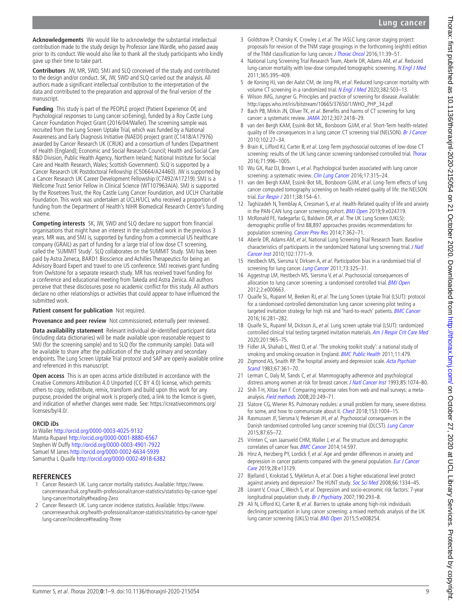# **Lung cancer**

**Acknowledgements** We would like to acknowledge the substantial intellectual contribution made to the study design by Professor Jane Wardle, who passed away prior to its conduct. We would also like to thank all the study participants who kindly gave up their time to take part.

**Contributors** JW, MR, SWD, SMJ and SLQ conceived of the study and contributed to the design and/or conduct. SK, JW, SWD and SLO carried out the analysis. All authors made a significant intellectual contribution to the interpretation of the data and contributed to the preparation and approval of the final version of the manuscript.

**Funding** This study is part of the PEOPLE project (Patient Experience Of, and Psychological responses to Lung cancer scrEening), funded by a Roy Castle Lung Cancer Foundation Project Grant (2016/04/Waller). The screening sample was recruited from the Lung Screen Uptake Trial, which was funded by a National Awareness and Early Diagnosis Initiative (NAEDI) project grant (C1418/A17976) awarded by Cancer Research UK (CRUK) and a consortium of funders (Department of Health (England); Economic and Social Research Council; Health and Social Care R&D Division, Public Health Agency, Northern Ireland; National Institute for Social Care and Health Research, Wales; Scottish Government). SLQ is supported by a Cancer Research UK Postdoctoral Fellowship (C50664/A24460). JW is supported by a Cancer Research UK Career Development Fellowship (C7492/A17219). SMJ is a Wellcome Trust Senior Fellow in Clinical Science (WT107963AIA). SMJ is supported by the Rosetrees Trust, the Roy Castle Lung Cancer Foundation, and UCLH Charitable Foundation. This work was undertaken at UCLH/UCL who received a proportion of funding from the Department of Health's NIHR Biomedical Research Centre's funding scheme.

**Competing interests** SK, JW, SWD and SLQ declare no support from financial organisations that might have an interest in the submitted work in the previous 3 years. MR was, and SMJ is, supported by funding from a commercial US healthcare company (GRAIL) as part of funding for a large trial of low dose CT screening, called the 'SUMMIT Study'. SLQ collaborates on the SUMMIT Study. SMJ has been paid by Astra Zeneca, BARD1 Bioscience and Achilles Therapeutics for being an Advisory Board Expert and travel to one US conference. SMJ receives grant funding from Owlstone for a separate research study. MR has received travel funding for a conference and educational meeting from Takeda and Astra Zenica. All authors perceive that these disclosures pose no academic conflict for this study. All authors declare no other relationships or activities that could appear to have influenced the submitted work.

#### **Patient consent for publication** Not required.

**Provenance and peer review** Not commissioned; externally peer reviewed.

**Data availability statement** Relevant individual de-identified participant data (including data dictionaries) will be made available upon reasonable request to SMJ (for the screening sample) and to SLQ (for the community sample). Data will be available to share after the publication of the study primary and secondary endpoints. The Lung Screen Uptake Trial protocol and SAP are openly available online and referenced in this manuscript.

**Open access** This is an open access article distributed in accordance with the Creative Commons Attribution 4.0 Unported (CC BY 4.0) license, which permits others to copy, redistribute, remix, transform and build upon this work for any purpose, provided the original work is properly cited, a link to the licence is given, and indication of whether changes were made. See: [https://creativecommons.org/](https://creativecommons.org/licenses/by/4.0/) [licenses/by/4.0/.](https://creativecommons.org/licenses/by/4.0/)

#### **ORCID iDs**

Jo Waller <http://orcid.org/0000-0003-4025-9132> Mamta Ruparel <http://orcid.org/0000-0001-8880-6567> Stephen W Duffy<http://orcid.org/0000-0003-4901-7922> Samuel M Janes <http://orcid.org/0000-0002-6634-5939> Samantha L Quaife<http://orcid.org/0000-0002-4918-6382>

#### **REFERENCES**

- <span id="page-8-0"></span>Cancer Research UK. Lung cancer mortality statistics. Available: [https://www.](https://www.cancerresearchuk.org/health-professional/cancer-statistics/statistics-by-cancer-type/lung-cancer/mortality#heading-Zero) [cancerresearchuk.org/health-professional/cancer-statistics/statistics-by-cancer-type/](https://www.cancerresearchuk.org/health-professional/cancer-statistics/statistics-by-cancer-type/lung-cancer/mortality#heading-Zero) [lung-cancer/mortality#heading-Zero](https://www.cancerresearchuk.org/health-professional/cancer-statistics/statistics-by-cancer-type/lung-cancer/mortality#heading-Zero)
- <span id="page-8-1"></span>2 Cancer Research UK. Lung cancer incidence statistics. Available: [https://www.](https://www.cancerresearchuk.org/health-professional/cancer-statistics/statistics-by-cancer-type/lung-cancer/incidence#heading-Three) [cancerresearchuk.org/health-professional/cancer-statistics/statistics-by-cancer-type/](https://www.cancerresearchuk.org/health-professional/cancer-statistics/statistics-by-cancer-type/lung-cancer/incidence#heading-Three) [lung-cancer/incidence#heading-Three](https://www.cancerresearchuk.org/health-professional/cancer-statistics/statistics-by-cancer-type/lung-cancer/incidence#heading-Three)
- <span id="page-8-2"></span>3 Goldstraw P, Chansky K, Crowley J, et al. The IASLC lung cancer staging project: proposals for revision of the TNM stage groupings in the forthcoming (eighth) edition of the TNM classification for lung cancer. [J Thorac Oncol](http://dx.doi.org/10.1016/j.jtho.2015.09.009) 2016;11:39-51.
- <span id="page-8-3"></span>4 National Lung Screening Trial Research Team, Aberle DR, Adams AM, et al. Reduced lung-cancer mortality with low-dose computed tomographic screening. [N Engl J Med](http://dx.doi.org/10.1056/NEJMoa1102873) 2011;365:395–409.
- <span id="page-8-6"></span>5 de Koning HJ, van der Aalst CM, de Jong PA, et al. Reduced lung-cancer mortality with volume CT screening in a randomized trial. [N Engl J Med](http://dx.doi.org/10.1056/NEJMoa1911793) 2020;382:503-13.
- <span id="page-8-4"></span>6 Wilson JMG, Jungner G. Principles and practice of screening for disease. Available: [http://apps.who.int/iris/bitstream/10665/37650/1/WHO\\_PHP\\_34.pdf](http://apps.who.int/iris/bitstream/10665/37650/1/WHO_PHP_34.pdf)
- <span id="page-8-5"></span>7 Bach PB, Mirkin JN, Oliver TK, et al. Benefits and harms of CT screening for lung cancer: a systematic review. [JAMA](http://dx.doi.org/10.1001/jama.2012.5521) 2012;307:2418-29.
- <span id="page-8-7"></span>8 van den Bergh KAM, Essink-Bot ML, Borsboom GJJM, et al. Short-Term health-related quality of life consequences in a lung cancer CT screening trial (NELSON). [Br J Cancer](http://dx.doi.org/10.1038/sj.bjc.6605459) 2010;102:27–34.
- <span id="page-8-8"></span>9 Brain K, Lifford KJ, Carter B, et al. Long-Term psychosocial outcomes of low-dose CT screening: results of the UK lung cancer screening randomised controlled trial. [Thorax](http://dx.doi.org/10.1136/thoraxjnl-2016-208283) 2016;71:996–1005.
- <span id="page-8-9"></span>10 Wu GX, Raz DJ, Brown L, et al. Psychological burden associated with lung cancer screening: a systematic review. [Clin Lung Cancer](http://dx.doi.org/10.1016/j.cllc.2016.03.007) 2016;17:315-24.
- 11 van den Bergh KAM, Essink-Bot ML, Borsboom GJJM, et al. Long-Term effects of lung cancer computed tomography screening on health-related quality of life: the NELSON trial. [Eur Respir J](http://dx.doi.org/10.1183/09031936.00123410) 2011;38:154-61.
- <span id="page-8-10"></span>12 Taghizadeh N, Tremblay A, Cressman S, et al. Health-Related quality of life and anxiety in the PAN-CAN lung cancer screening cohort. [BMJ Open](http://dx.doi.org/10.1136/bmjopen-2018-024719) 2019;9:e024719.
- <span id="page-8-11"></span>13 McRonald FE, Yadegarfar G, Baldwin DR, et al. The UK Lung Screen (UKLS): demographic profile of first 88,897 approaches provides recommendations for population screening. [Cancer Prev Res](http://dx.doi.org/10.1158/1940-6207.CAPR-13-0206) 2014;7:362–71.
- 14 Aberle DR, Adams AM, et al, National Lung Screening Trial Research Team. Baseline characteristics of participants in the randomized National lung screening trial. J Natl [Cancer Inst](http://dx.doi.org/10.1093/jnci/djq434) 2010;102:1771–9.
- 15 Hestbech MS, Siersma V, Dirksen A, et al. Participation bias in a randomised trial of screening for lung cancer. [Lung Cancer](http://dx.doi.org/10.1016/j.lungcan.2010.12.018) 2011;73:325-31.
- <span id="page-8-12"></span>16 Aggestrup LM, Hestbech MS, Siersma V, et al. Psychosocial consequences of allocation to lung cancer screening: a randomised controlled trial. **[BMJ Open](http://dx.doi.org/10.1136/bmjopen-2011-000663)** 2012;2:e000663.
- <span id="page-8-13"></span>17 Quaife SL, Ruparel M, Beeken RJ, et al. The Lung Screen Uptake Trial (LSUT): protocol for a randomised controlled demonstration lung cancer screening pilot testing a targeted invitation strategy for high risk and 'hard-to-reach' patients. [BMC Cancer](http://dx.doi.org/10.1186/s12885-016-2316-z) 2016;16:281–282.
- <span id="page-8-23"></span>18 Quaife SL, Ruparel M, Dickson JL, et al. Lung screen uptake trial (LSUT): randomized controlled clinical trial testing targeted invitation materials. [Am J Respir Crit Care Med](http://dx.doi.org/10.1164/rccm.201905-0946OC) 2020;201:965–75.
- <span id="page-8-14"></span>19 Fidler JA, Shahab L, West O, et al. 'The smoking toolkit study': a national study of smoking and smoking cessation in England. [BMC Public Health](http://dx.doi.org/10.1186/1471-2458-11-479) 2011;11:479.
- <span id="page-8-15"></span>20 Zigmond AS, Snaith RP. The hospital anxiety and depression scale. Acta Psychiatr [Scand](http://dx.doi.org/10.1111/j.1600-0447.1983.tb09716.x) 1983;67:361–70.
- <span id="page-8-16"></span>21 Lerman C, Daly M, Sands C, et al. Mammography adherence and psychological distress among women at risk for breast cancer. [J Natl Cancer Inst](http://dx.doi.org/10.1093/jnci/85.13.1074) 1993;85:1074–80.
- <span id="page-8-17"></span>22 Shih T-H, Xitao Fan F. Comparing response rates from web and mail surveys: a metaanalysis. [Field methods](http://dx.doi.org/10.1177/1525822X08317085) 2008;20:249–71.
- <span id="page-8-18"></span>23 Slatore CG, Wiener RS. Pulmonary nodules: a small problem for many, severe distress for some, and how to communicate about it. [Chest](http://dx.doi.org/10.1016/j.chest.2017.10.013) 2018;153:1004-15.
- 24 Rasmussen JF, Siersma V, Pedersen JH, et al. Psychosocial consequences in the Danish randomised controlled lung cancer screening trial (DLCST). [Lung Cancer](http://dx.doi.org/10.1016/j.lungcan.2014.11.003) 2015;87:65–72.
- <span id="page-8-19"></span>25 Vrinten C, van Jaarsveld CHM, Waller J, et al. The structure and demographic correlates of cancer fear. [BMC Cancer](http://dx.doi.org/10.1186/1471-2407-14-597) 2014;14:597.
- <span id="page-8-20"></span>26 Hinz A, Herzberg PY, Lordick F, et al. Age and gender differences in anxiety and depression in cancer patients compared with the general population. Eur J Cancer [Care](http://dx.doi.org/10.1111/ecc.13129) 2019;28:e13129.
- <span id="page-8-21"></span>27 Bjelland I, Krokstad S, Mykletun A, et al. Does a higher educational level protect against anxiety and depression? The HUNT study. [Soc Sci Med](http://dx.doi.org/10.1016/j.socscimed.2007.12.019) 2008;66:1334–45.
- <span id="page-8-22"></span>28 Lorant V, Croux C, Weich S, et al. Depression and socio-economic risk factors: 7-year longitudinal population study. [Br J Psychiatry](http://dx.doi.org/10.1192/bjp.bp.105.020040) 2007;190:293-8.
- <span id="page-8-24"></span>29 Ali N, Lifford KJ, Carter B, et al. Barriers to uptake among high-risk individuals declining participation in lung cancer screening: a mixed methods analysis of the UK lung cancer screening (UKLS) trial. **[BMJ Open](http://dx.doi.org/10.1136/bmjopen-2015-008254) 2015**;5:e008254.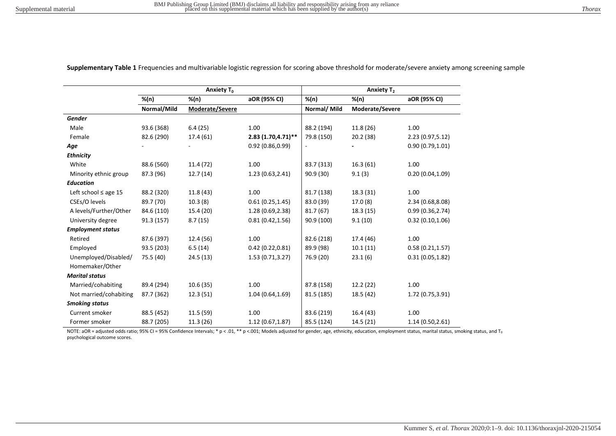|                           | Anxiety T <sub>0</sub> |                 |                    | <b>Anxiety T<sub>2</sub></b> |                 |                  |  |
|---------------------------|------------------------|-----------------|--------------------|------------------------------|-----------------|------------------|--|
|                           | $%$ (n)                | $%$ (n)         | aOR (95% CI)       | $%$ (n)                      | $%$ (n)         | aOR (95% CI)     |  |
|                           | Normal/Mild            | Moderate/Severe |                    | Normal/ Mild                 | Moderate/Severe |                  |  |
| Gender                    |                        |                 |                    |                              |                 |                  |  |
| Male                      | 93.6 (368)             | 6.4(25)         | 1.00               | 88.2 (194)                   | 11.8(26)        | 1.00             |  |
| Female                    | 82.6 (290)             | 17.4 (61)       | 2.83 (1.70,4.71)** | 79.8 (150)                   | 20.2(38)        | 2.23(0.97,5.12)  |  |
| Age                       |                        |                 | 0.92(0.86, 0.99)   |                              |                 | 0.90(0.79, 1.01) |  |
| <b>Ethnicity</b>          |                        |                 |                    |                              |                 |                  |  |
| White                     | 88.6 (560)             | 11.4 (72)       | 1.00               | 83.7 (313)                   | 16.3(61)        | 1.00             |  |
| Minority ethnic group     | 87.3 (96)              | 12.7(14)        | 1.23(0.63, 2.41)   | 90.9 (30)                    | 9.1(3)          | 0.20(0.04, 1.09) |  |
| <b>Education</b>          |                        |                 |                    |                              |                 |                  |  |
| Left school $\leq$ age 15 | 88.2 (320)             | 11.8(43)        | 1.00               | 81.7 (138)                   | 18.3 (31)       | 1.00             |  |
| CSEs/O levels             | 89.7 (70)              | 10.3(8)         | 0.61(0.25, 1.45)   | 83.0 (39)                    | 17.0(8)         | 2.34 (0.68,8.08) |  |
| A levels/Further/Other    | 84.6 (110)             | 15.4 (20)       | 1.28 (0.69,2.38)   | 81.7(67)                     | 18.3(15)        | 0.99(0.36, 2.74) |  |
| University degree         | 91.3 (157)             | 8.7(15)         | 0.81(0.42, 1.56)   | 90.9 (100)                   | 9.1(10)         | 0.32(0.10, 1.06) |  |
| <b>Employment status</b>  |                        |                 |                    |                              |                 |                  |  |
| Retired                   | 87.6 (397)             | 12.4 (56)       | 1.00               | 82.6 (218)                   | 17.4 (46)       | 1.00             |  |
| Employed                  | 93.5 (203)             | 6.5(14)         | 0.42(0.22, 0.81)   | 89.9 (98)                    | 10.1(11)        | 0.58(0.21, 1.57) |  |
| Unemployed/Disabled/      | 75.5 (40)              | 24.5(13)        | 1.53(0.71, 3.27)   | 76.9 (20)                    | 23.1(6)         | 0.31(0.05, 1.82) |  |
| Homemaker/Other           |                        |                 |                    |                              |                 |                  |  |
| <b>Marital status</b>     |                        |                 |                    |                              |                 |                  |  |
| Married/cohabiting        | 89.4 (294)             | 10.6(35)        | 1.00               | 87.8 (158)                   | 12.2(22)        | 1.00             |  |
| Not married/cohabiting    | 87.7 (362)             | 12.3(51)        | 1.04(0.64, 1.69)   | 81.5 (185)                   | 18.5 (42)       | 1.72 (0.75,3.91) |  |
| <b>Smoking status</b>     |                        |                 |                    |                              |                 |                  |  |
| Current smoker            | 88.5 (452)             | 11.5(59)        | 1.00               | 83.6 (219)                   | 16.4 (43)       | 1.00             |  |
| Former smoker             | 88.7 (205)             | 11.3(26)        | 1.12(0.67, 1.87)   | 85.5 (124)                   | 14.5(21)        | 1.14(0.50, 2.61) |  |

**Supplementary Table 1** Frequencies and multivariable logistic regression for scoring above threshold for moderate/severe anxiety among screening sample

NOTE: aOR = adjusted odds ratio; 95% CI = 95% Confidence Intervals; \* p < .01, \*\* p <.001; Models adjusted for gender, age, ethnicity, education, employment status, marital status, smoking status, and T<sub>0</sub> psychological outcome scores.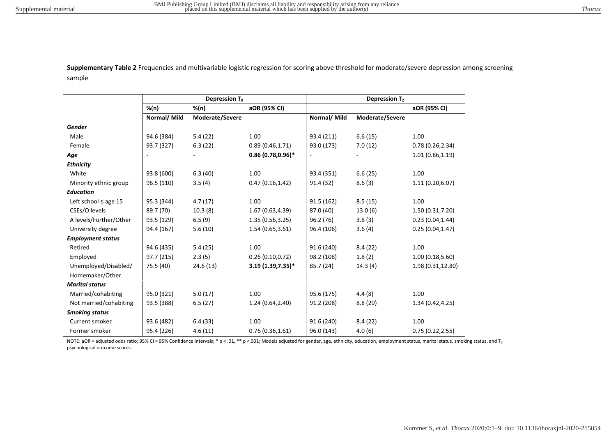**Supplementary Table 2** Frequencies and multivariable logistic regression for scoring above threshold for moderate/severe depression among screening sample

|                           |                          | Depression $T_0$ |                      | Depression T <sub>2</sub> |                 |                   |  |
|---------------------------|--------------------------|------------------|----------------------|---------------------------|-----------------|-------------------|--|
|                           | %(n)                     | $%$ (n)          | aOR (95% CI)         |                           |                 | aOR (95% CI)      |  |
|                           | Normal/ Mild             | Moderate/Severe  |                      | Normal/ Mild              | Moderate/Severe |                   |  |
| Gender                    |                          |                  |                      |                           |                 |                   |  |
| Male                      | 94.6 (384)               | 5.4(22)          | 1.00                 | 93.4 (211)                | 6.6(15)         | 1.00              |  |
| Female                    | 93.7 (327)               | 6.3(22)          | 0.89(0.46, 1.71)     | 93.0 (173)                | 7.0(12)         | 0.78(0.26, 2.34)  |  |
| Age                       | $\overline{\phantom{a}}$ |                  | $0.86(0.78, 0.96)$ * |                           |                 | 1.01(0.86, 1.19)  |  |
| <b>Ethnicity</b>          |                          |                  |                      |                           |                 |                   |  |
| White                     | 93.8 (600)               | 6.3(40)          | 1.00                 | 93.4 (351)                | 6.6(25)         | 1.00              |  |
| Minority ethnic group     | 96.5 (110)               | 3.5(4)           | 0.47(0.16, 1.42)     | 91.4 (32)                 | 8.6(3)          | 1.11(0.20, 6.07)  |  |
| <b>Education</b>          |                          |                  |                      |                           |                 |                   |  |
| Left school $\leq$ age 15 | 95.3 (344)               | 4.7(17)          | 1.00                 | 91.5 (162)                | 8.5(15)         | 1.00              |  |
| CSEs/O levels             | 89.7 (70)                | 10.3(8)          | 1.67(0.63, 4.39)     | 87.0 (40)                 | 13.0(6)         | 1.50 (0.31,7.20)  |  |
| A levels/Further/Other    | 93.5 (129)               | 6.5(9)           | 1.35(0.56, 3.25)     | 96.2 (76)                 | 3.8(3)          | 0.23(0.04, 1.44)  |  |
| University degree         | 94.4 (167)               | 5.6(10)          | 1.54 (0.65,3.61)     | 96.4 (106)                | 3.6(4)          | 0.25(0.04, 1.47)  |  |
| <b>Employment status</b>  |                          |                  |                      |                           |                 |                   |  |
| Retired                   | 94.6 (435)               | 5.4(25)          | 1.00                 | 91.6 (240)                | 8.4(22)         | 1.00              |  |
| Employed                  | 97.7 (215)               | 2.3(5)           | 0.26(0.10, 0.72)     | 98.2 (108)                | 1.8(2)          | 1.00(0.18,5.60)   |  |
| Unemployed/Disabled/      | 75.5 (40)                | 24.6(13)         | $3.19(1.39,7.35)^*$  | 85.7 (24)                 | 14.3(4)         | 1.98 (0.31,12.80) |  |
| Homemaker/Other           |                          |                  |                      |                           |                 |                   |  |
| <b>Marital status</b>     |                          |                  |                      |                           |                 |                   |  |
| Married/cohabiting        | 95.0 (321)               | 5.0(17)          | 1.00                 | 95.6 (175)                | 4.4(8)          | 1.00              |  |
| Not married/cohabiting    | 93.5 (388)               | 6.5(27)          | 1.24 (0.64,2.40)     | 91.2 (208)                | 8.8(20)         | 1.34 (0.42,4.25)  |  |
| <b>Smoking status</b>     |                          |                  |                      |                           |                 |                   |  |
| Current smoker            | 93.6 (482)               | 6.4(33)          | 1.00                 | 91.6 (240)                | 8.4(22)         | 1.00              |  |
| Former smoker             | 95.4 (226)               | 4.6(11)          | 0.76(0.36, 1.61)     | 96.0 (143)                | 4.0(6)          | 0.75(0.22, 2.55)  |  |

NOTE: aOR = adjusted odds ratio; 95% CI = 95% Confidence Intervals; \* p < .01, \*\* p <.001; Models adjusted for gender, age, ethnicity, education, employment status, marital status, smoking status, and T<sub>0</sub> psychological outcome scores.